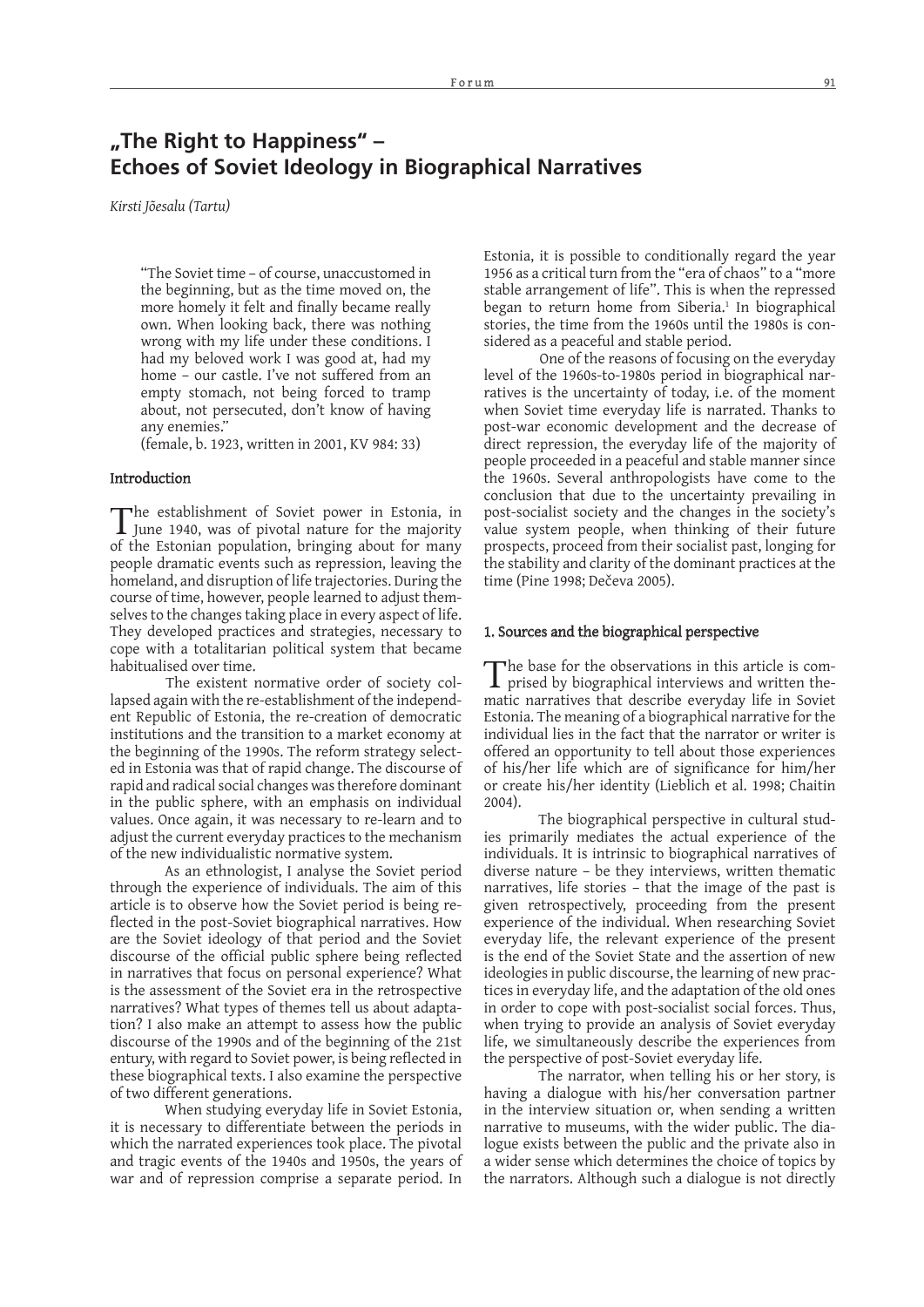# **"The Right to Happiness" – Echoes of Soviet Ideology in Biographical Narratives**

*Kirsti Jõesalu (Tartu)*

"The Soviet time – of course, unaccustomed in the beginning, but as the time moved on, the more homely it felt and finally became really own. When looking back, there was nothing wrong with my life under these conditions. I had my beloved work I was good at, had my home - our castle. I've not suffered from an empty stomach, not being forced to tramp about, not persecuted, don't know of having any enemies."

(female, b. 1923, written in 2001, KV 984: 33)

# Introduction

 $\Gamma$ he establishment of Soviet power in Estonia, in June 1940, was of pivotal nature for the majority of the Estonian population, bringing about for many people dramatic events such as repression, leaving the homeland, and disruption of life trajectories. During the course of time, however, people learned to adjust themselves to the changes taking place in every aspect of life. They developed practices and strategies, necessary to cope with a totalitarian political system that became habitualised over time.

The existent normative order of society collapsed again with the re-establishment of the independent Republic of Estonia, the re-creation of democratic institutions and the transition to a market economy at the beginning of the 1990s. The reform strategy selected in Estonia was that of rapid change. The discourse of rapid and radical social changes was therefore dominant in the public sphere, with an emphasis on individual values. Once again, it was necessary to re-learn and to adjust the current everyday practices to the mechanism of the new individualistic normative system.

As an ethnologist, I analyse the Soviet period through the experience of individuals. The aim of this article is to observe how the Soviet period is being reflected in the post-Soviet biographical narratives. How are the Soviet ideology of that period and the Soviet discourse of the official public sphere being reflected in narratives that focus on personal experience? What is the assessment of the Soviet era in the retrospective narratives? What types of themes tell us about adaptation? I also make an attempt to assess how the public discourse of the 1990s and of the beginning of the 21st entury, with regard to Soviet power, is being reflected in these biographical texts. I also examine the perspective of two different generations.

When studying everyday life in Soviet Estonia, it is necessary to differentiate between the periods in which the narrated experiences took place. The pivotal and tragic events of the 1940s and 1950s, the years of war and of repression comprise a separate period. In

Estonia, it is possible to conditionally regard the year 1956 as a critical turn from the "era of chaos" to a "more stable arrangement of life". This is when the repressed began to return home from Siberia.<sup>1</sup> In biographical stories, the time from the 1960s until the 1980s is considered as a peaceful and stable period.

One of the reasons of focusing on the everyday level of the 1960s-to-1980s period in biographical narratives is the uncertainty of today, i.e. of the moment when Soviet time everyday life is narrated. Thanks to post-war economic development and the decrease of direct repression, the everyday life of the majority of people proceeded in a peaceful and stable manner since the 1960s. Several anthropologists have come to the conclusion that due to the uncertainty prevailing in post-socialist society and the changes in the society's value system people, when thinking of their future prospects, proceed from their socialist past, longing for the stability and clarity of the dominant practices at the time (Pine 1998; Dečeva 2005).

## 1. Sources and the biographical perspective

The base for the observations in this article is com-prised by biographical interviews and written thematic narratives that describe everyday life in Soviet Estonia. The meaning of a biographical narrative for the individual lies in the fact that the narrator or writer is offered an opportunity to tell about those experiences of his/her life which are of significance for him/her or create his/her identity (Lieblich et al. 1998; Chaitin 2004).

The biographical perspective in cultural studies primarily mediates the actual experience of the individuals. It is intrinsic to biographical narratives of diverse nature – be they interviews, written thematic narratives, life stories – that the image of the past is given retrospectively, proceeding from the present experience of the individual. When researching Soviet everyday life, the relevant experience of the present is the end of the Soviet State and the assertion of new ideologies in public discourse, the learning of new practices in everyday life, and the adaptation of the old ones in order to cope with post-socialist social forces. Thus, when trying to provide an analysis of Soviet everyday life, we simultaneously describe the experiences from the perspective of post-Soviet everyday life.

The narrator, when telling his or her story, is having a dialogue with his/her conversation partner in the interview situation or, when sending a written narrative to museums, with the wider public. The dialogue exists between the public and the private also in a wider sense which determines the choice of topics by the narrators. Although such a dialogue is not directly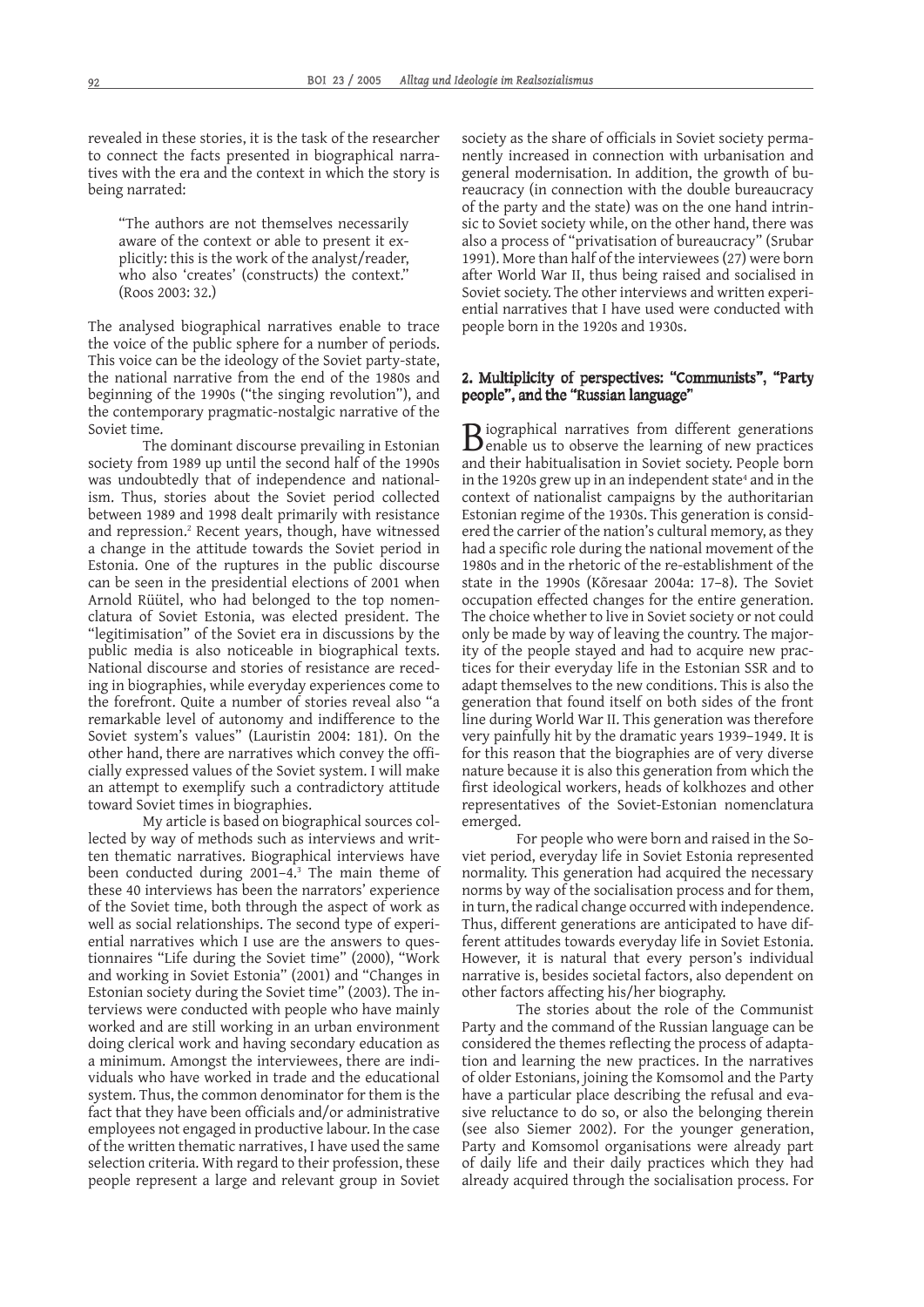revealed in these stories, it is the task of the researcher to connect the facts presented in biographical narratives with the era and the context in which the story is being narrated:

"The authors are not themselves necessarily aware of the context or able to present it explicitly: this is the work of the analyst/reader, who also 'creates' (constructs) the context." (Roos 2003: 32.)

The analysed biographical narratives enable to trace the voice of the public sphere for a number of periods. This voice can be the ideology of the Soviet party-state, the national narrative from the end of the 1980s and beginning of the 1990s ("the singing revolution"), and the contemporary pragmatic-nostalgic narrative of the Soviet time.

The dominant discourse prevailing in Estonian society from 1989 up until the second half of the 1990s was undoubtedly that of independence and nationalism. Thus, stories about the Soviet period collected between 1989 and 1998 dealt primarily with resistance and repression.<sup>2</sup> Recent years, though, have witnessed a change in the attitude towards the Soviet period in Estonia. One of the ruptures in the public discourse can be seen in the presidential elections of 2001 when Arnold Rüütel, who had belonged to the top nomenclatura of Soviet Estonia, was elected president. The "legitimisation" of the Soviet era in discussions by the public media is also noticeable in biographical texts. National discourse and stories of resistance are receding in biographies, while everyday experiences come to the forefront. Quite a number of stories reveal also "a remarkable level of autonomy and indifference to the Soviet system's values" (Lauristin 2004: 181). On the other hand, there are narratives which convey the officially expressed values of the Soviet system. I will make an attempt to exemplify such a contradictory attitude toward Soviet times in biographies.

My article is based on biographical sources collected by way of methods such as interviews and written thematic narratives. Biographical interviews have been conducted during 2001–4.3 The main theme of these 40 interviews has been the narrators' experience of the Soviet time, both through the aspect of work as well as social relationships. The second type of experiential narratives which I use are the answers to questionnaires "Life during the Soviet time" (2000), "Work and working in Soviet Estonia" (2001) and "Changes in Estonian society during the Soviet time" (2003). The interviews were conducted with people who have mainly worked and are still working in an urban environment doing clerical work and having secondary education as a minimum. Amongst the interviewees, there are individuals who have worked in trade and the educational system. Thus, the common denominator for them is the fact that they have been officials and/or administrative employees not engaged in productive labour. In the case of the written thematic narratives, I have used the same selection criteria. With regard to their profession, these people represent a large and relevant group in Soviet

society as the share of officials in Soviet society permanently increased in connection with urbanisation and general modernisation. In addition, the growth of bureaucracy (in connection with the double bureaucracy of the party and the state) was on the one hand intrinsic to Soviet society while, on the other hand, there was also a process of "privatisation of bureaucracy" (Srubar 1991). More than half of the interviewees (27) were born after World War II, thus being raised and socialised in Soviet society. The other interviews and written experiential narratives that I have used were conducted with people born in the 1920s and 1930s.

# 2. Multiplicity of perspectives: "Communists", "Party people", and the "Russian language"

Biographical narratives from different generations<br>
benable us to observe the learning of new practices and their habitualisation in Soviet society. People born in the 1920s grew up in an independent state<sup>4</sup> and in the context of nationalist campaigns by the authoritarian Estonian regime of the 1930s. This generation is considered the carrier of the nation's cultural memory, as they had a specific role during the national movement of the 1980s and in the rhetoric of the re-establishment of the state in the 1990s (Kõresaar 2004a: 17–8). The Soviet occupation effected changes for the entire generation. The choice whether to live in Soviet society or not could only be made by way of leaving the country. The majority of the people stayed and had to acquire new practices for their everyday life in the Estonian SSR and to adapt themselves to the new conditions. This is also the generation that found itself on both sides of the front line during World War II. This generation was therefore very painfully hit by the dramatic years 1939–1949. It is for this reason that the biographies are of very diverse nature because it is also this generation from which the first ideological workers, heads of kolkhozes and other representatives of the Soviet-Estonian nomenclatura emerged.

For people who were born and raised in the Soviet period, everyday life in Soviet Estonia represented normality. This generation had acquired the necessary norms by way of the socialisation process and for them, in turn, the radical change occurred with independence. Thus, different generations are anticipated to have different attitudes towards everyday life in Soviet Estonia. However, it is natural that every person's individual narrative is, besides societal factors, also dependent on other factors affecting his/her biography.

The stories about the role of the Communist Party and the command of the Russian language can be considered the themes reflecting the process of adaptation and learning the new practices. In the narratives of older Estonians, joining the Komsomol and the Party have a particular place describing the refusal and evasive reluctance to do so, or also the belonging therein (see also Siemer 2002). For the younger generation, Party and Komsomol organisations were already part of daily life and their daily practices which they had already acquired through the socialisation process. For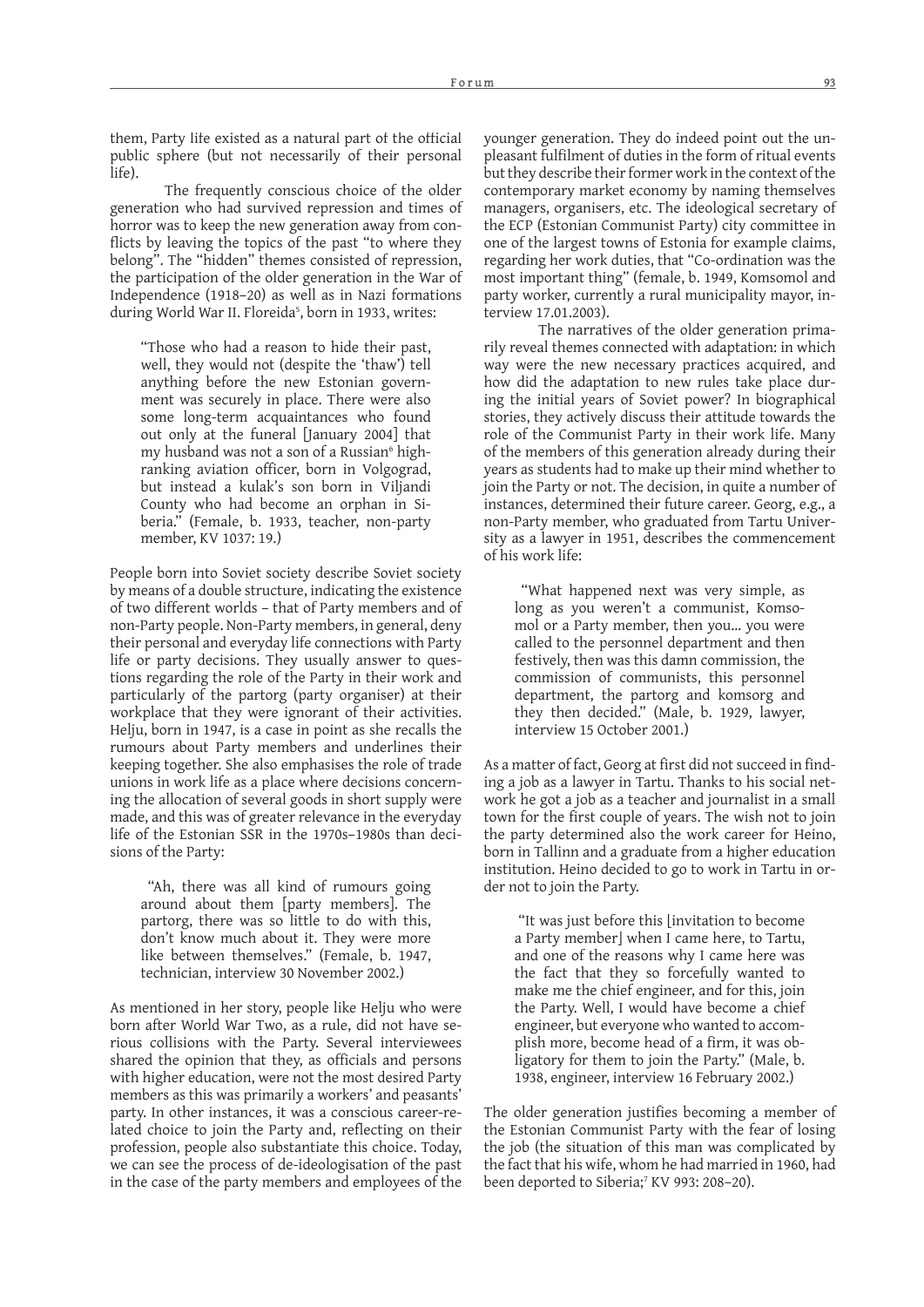them, Party life existed as a natural part of the official public sphere (but not necessarily of their personal life).

The frequently conscious choice of the older generation who had survived repression and times of horror was to keep the new generation away from conflicts by leaving the topics of the past "to where they belong". The "hidden" themes consisted of repression, the participation of the older generation in the War of Independence (1918–20) as well as in Nazi formations during World War II. Floreida<sup>5</sup>, born in 1933, writes:

"Those who had a reason to hide their past, well, they would not (despite the 'thaw') tell anything before the new Estonian government was securely in place. There were also some long-term acquaintances who found out only at the funeral [January 2004] that my husband was not a son of a Russian<sup>6</sup> highranking aviation officer, born in Volgograd, but instead a kulak's son born in Viljandi County who had become an orphan in Siberia." (Female, b. 1933, teacher, non-party member, KV 1037: 19.)

People born into Soviet society describe Soviet society by means of a double structure, indicating the existence of two different worlds – that of Party members and of non-Party people. Non-Party members, in general, deny their personal and everyday life connections with Party life or party decisions. They usually answer to questions regarding the role of the Party in their work and particularly of the partorg (party organiser) at their workplace that they were ignorant of their activities. Helju, born in 1947, is a case in point as she recalls the rumours about Party members and underlines their keeping together. She also emphasises the role of trade unions in work life as a place where decisions concerning the allocation of several goods in short supply were made, and this was of greater relevance in the everyday life of the Estonian SSR in the 1970s–1980s than decisions of the Party:

 "Ah, there was all kind of rumours going around about them [party members]. The partorg, there was so little to do with this, don't know much about it. They were more like between themselves." (Female, b. 1947, technician, interview 30 November 2002.)

As mentioned in her story, people like Helju who were born after World War Two, as a rule, did not have serious collisions with the Party. Several interviewees shared the opinion that they, as officials and persons with higher education, were not the most desired Party members as this was primarily a workers' and peasants' party. In other instances, it was a conscious career-related choice to join the Party and, reflecting on their profession, people also substantiate this choice. Today, we can see the process of de-ideologisation of the past in the case of the party members and employees of the

younger generation. They do indeed point out the unpleasant fulfilment of duties in the form of ritual events but they describe their former work in the context of the contemporary market economy by naming themselves managers, organisers, etc. The ideological secretary of the ECP (Estonian Communist Party) city committee in one of the largest towns of Estonia for example claims, regarding her work duties, that "Co-ordination was the most important thing" (female, b. 1949, Komsomol and party worker, currently a rural municipality mayor, interview 17.01.2003).

The narratives of the older generation primarily reveal themes connected with adaptation: in which way were the new necessary practices acquired, and how did the adaptation to new rules take place during the initial years of Soviet power? In biographical stories, they actively discuss their attitude towards the role of the Communist Party in their work life. Many of the members of this generation already during their years as students had to make up their mind whether to join the Party or not. The decision, in quite a number of instances, determined their future career. Georg, e.g., a non-Party member, who graduated from Tartu University as a lawyer in 1951, describes the commencement of his work life:

 "What happened next was very simple, as long as you weren't a communist, Komsomol or a Party member, then you… you were called to the personnel department and then festively, then was this damn commission, the commission of communists, this personnel department, the partorg and komsorg and they then decided." (Male, b. 1929, lawyer, interview 15 October 2001.)

As a matter of fact, Georg at first did not succeed in finding a job as a lawyer in Tartu. Thanks to his social network he got a job as a teacher and journalist in a small town for the first couple of years. The wish not to join the party determined also the work career for Heino, born in Tallinn and a graduate from a higher education institution. Heino decided to go to work in Tartu in order not to join the Party.

 "It was just before this [invitation to become a Party member] when I came here, to Tartu, and one of the reasons why I came here was the fact that they so forcefully wanted to make me the chief engineer, and for this, join the Party. Well, I would have become a chief engineer, but everyone who wanted to accomplish more, become head of a firm, it was obligatory for them to join the Party." (Male, b. 1938, engineer, interview 16 February 2002.)

The older generation justifies becoming a member of the Estonian Communist Party with the fear of losing the job (the situation of this man was complicated by the fact that his wife, whom he had married in 1960, had been deported to Siberia;<sup>7</sup> KV 993: 208-20).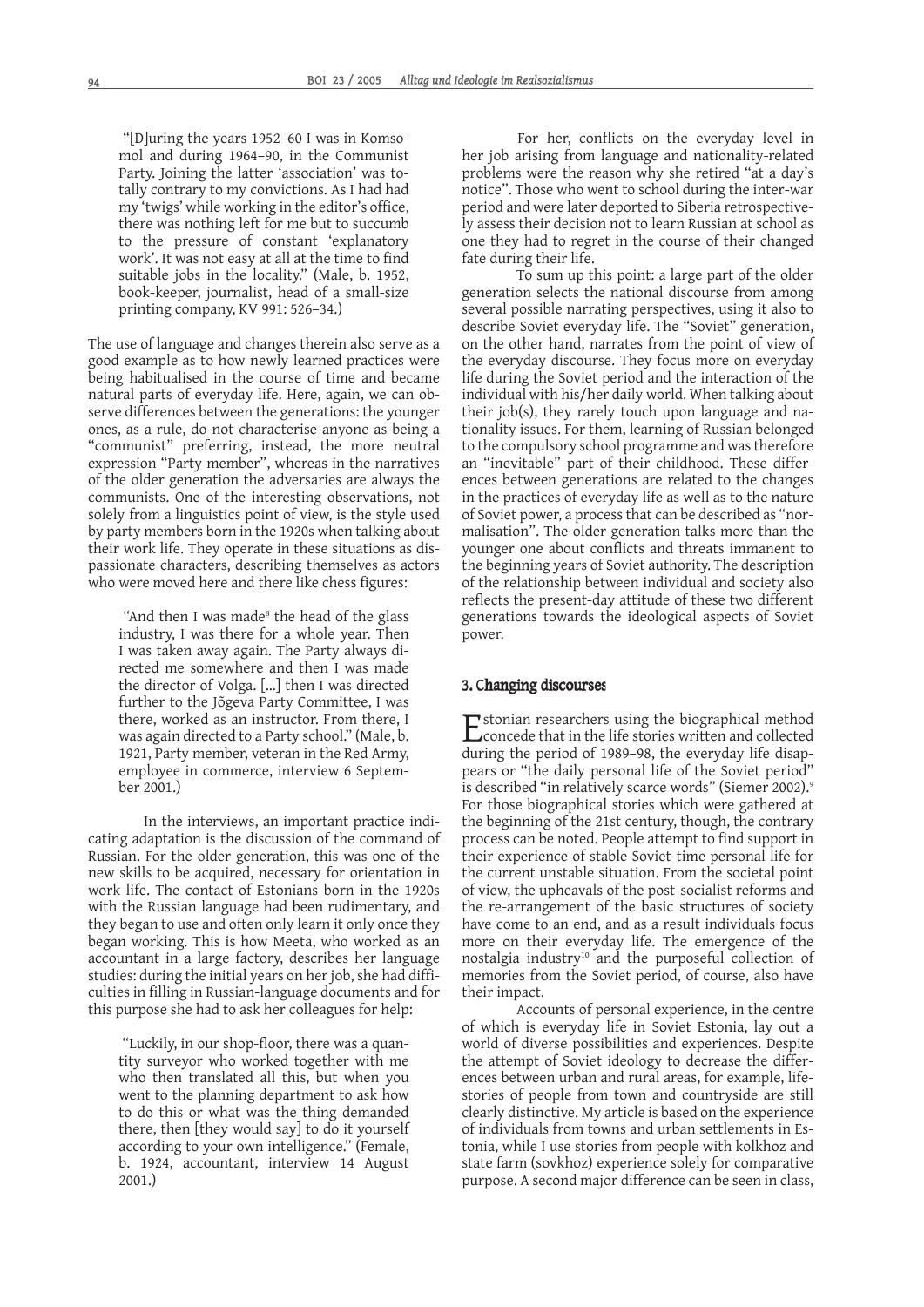"[D]uring the years 1952–60 I was in Komsomol and during 1964–90, in the Communist Party. Joining the latter 'association' was totally contrary to my convictions. As I had had my 'twigs' while working in the editor's office, there was nothing left for me but to succumb to the pressure of constant 'explanatory work'. It was not easy at all at the time to find suitable jobs in the locality." (Male, b. 1952, book-keeper, journalist, head of a small-size printing company, KV 991: 526–34.)

The use of language and changes therein also serve as a good example as to how newly learned practices were being habitualised in the course of time and became natural parts of everyday life. Here, again, we can observe differences between the generations: the younger ones, as a rule, do not characterise anyone as being a "communist" preferring, instead, the more neutral expression "Party member", whereas in the narratives of the older generation the adversaries are always the communists. One of the interesting observations, not solely from a linguistics point of view, is the style used by party members born in the 1920s when talking about their work life. They operate in these situations as dispassionate characters, describing themselves as actors who were moved here and there like chess figures:

"And then I was made $\delta$  the head of the glass industry, I was there for a whole year. Then I was taken away again. The Party always directed me somewhere and then I was made the director of Volga. […] then I was directed further to the Jõgeva Party Committee, I was there, worked as an instructor. From there, I was again directed to a Party school." (Male, b. 1921, Party member, veteran in the Red Army, employee in commerce, interview 6 September 2001.)

In the interviews, an important practice indicating adaptation is the discussion of the command of Russian. For the older generation, this was one of the new skills to be acquired, necessary for orientation in work life. The contact of Estonians born in the 1920s with the Russian language had been rudimentary, and they began to use and often only learn it only once they began working. This is how Meeta, who worked as an accountant in a large factory, describes her language studies: during the initial years on her job, she had diffi culties in filling in Russian-language documents and for this purpose she had to ask her colleagues for help:

"Luckily, in our shop-floor, there was a quantity surveyor who worked together with me who then translated all this, but when you went to the planning department to ask how to do this or what was the thing demanded there, then [they would say] to do it yourself according to your own intelligence." (Female, b. 1924, accountant, interview 14 August 2001.)

For her, conflicts on the everyday level in her job arising from language and nationality-related problems were the reason why she retired "at a day's notice". Those who went to school during the inter-war period and were later deported to Siberia retrospectively assess their decision not to learn Russian at school as one they had to regret in the course of their changed fate during their life.

To sum up this point: a large part of the older generation selects the national discourse from among several possible narrating perspectives, using it also to describe Soviet everyday life. The "Soviet" generation, on the other hand, narrates from the point of view of the everyday discourse. They focus more on everyday life during the Soviet period and the interaction of the individual with his/her daily world. When talking about their job(s), they rarely touch upon language and nationality issues. For them, learning of Russian belonged to the compulsory school programme and was therefore an "inevitable" part of their childhood. These differences between generations are related to the changes in the practices of everyday life as well as to the nature of Soviet power, a process that can be described as "normalisation". The older generation talks more than the younger one about conflicts and threats immanent to the beginning years of Soviet authority. The description of the relationship between individual and society also reflects the present-day attitude of these two different generations towards the ideological aspects of Soviet power.

# 3. Changing discourses

 $\Box$  stonian researchers using the biographical method **L** concede that in the life stories written and collected during the period of 1989–98, the everyday life disappears or "the daily personal life of the Soviet period" is described "in relatively scarce words" (Siemer 2002).<sup>9</sup> For those biographical stories which were gathered at the beginning of the 21st century, though, the contrary process can be noted. People attempt to find support in their experience of stable Soviet-time personal life for the current unstable situation. From the societal point of view, the upheavals of the post-socialist reforms and the re-arrangement of the basic structures of society have come to an end, and as a result individuals focus more on their everyday life. The emergence of the nostalgia industry<sup>10</sup> and the purposeful collection of memories from the Soviet period, of course, also have their impact.

Accounts of personal experience, in the centre of which is everyday life in Soviet Estonia, lay out a world of diverse possibilities and experiences. Despite the attempt of Soviet ideology to decrease the differences between urban and rural areas, for example, lifestories of people from town and countryside are still clearly distinctive. My article is based on the experience of individuals from towns and urban settlements in Estonia, while I use stories from people with kolkhoz and state farm (sovkhoz) experience solely for comparative purpose. A second major difference can be seen in class,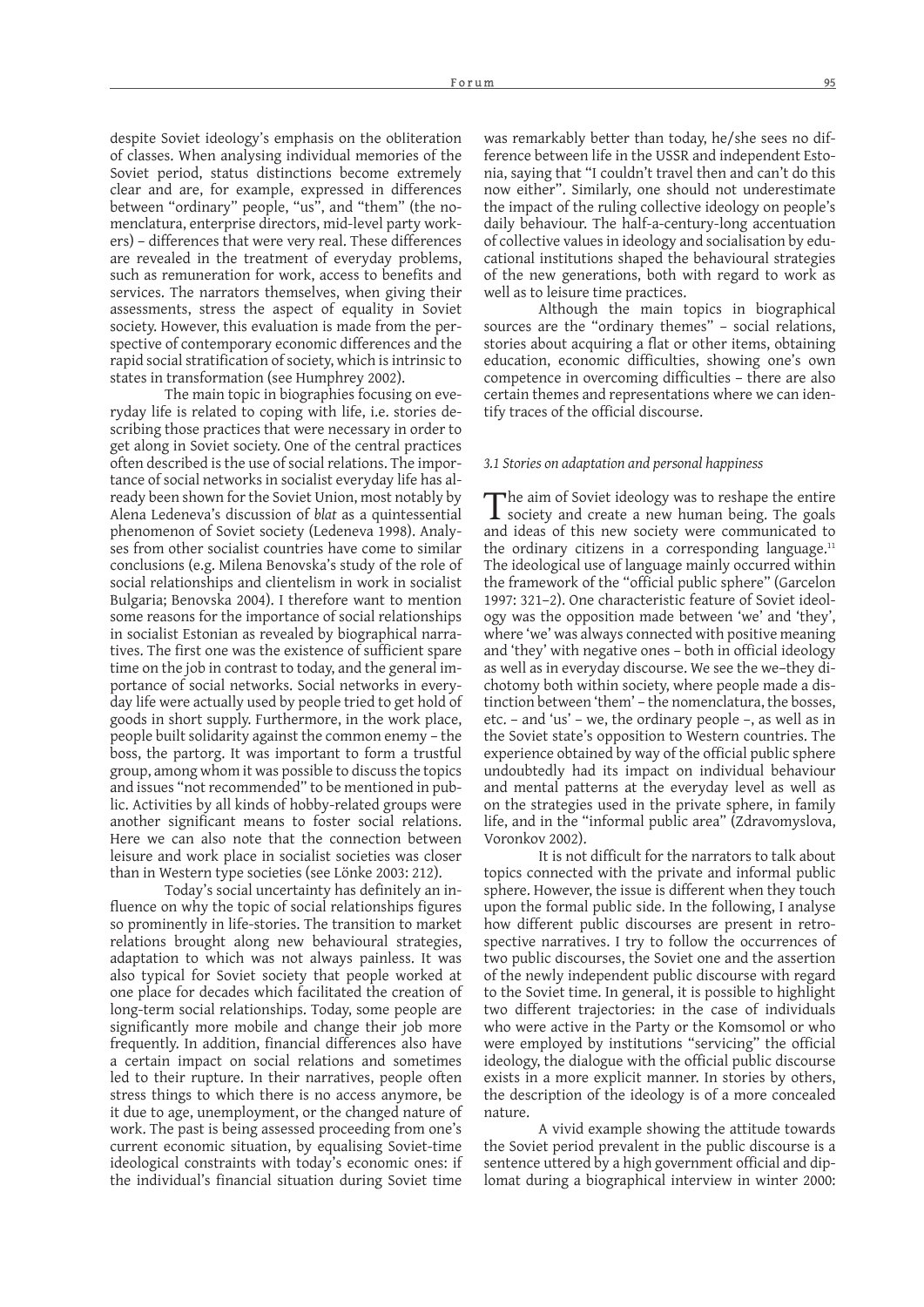despite Soviet ideology's emphasis on the obliteration of classes. When analysing individual memories of the Soviet period, status distinctions become extremely clear and are, for example, expressed in differences between "ordinary" people, "us", and "them" (the nomenclatura, enterprise directors, mid-level party workers) – differences that were very real. These differences are revealed in the treatment of everyday problems, such as remuneration for work, access to benefits and services. The narrators themselves, when giving their assessments, stress the aspect of equality in Soviet society. However, this evaluation is made from the perspective of contemporary economic differences and the rapid social stratification of society, which is intrinsic to states in transformation (see Humphrey 2002).

The main topic in biographies focusing on everyday life is related to coping with life, i.e. stories describing those practices that were necessary in order to get along in Soviet society. One of the central practices often described is the use of social relations. The importance of social networks in socialist everyday life has already been shown for the Soviet Union, most notably by Alena Ledeneva's discussion of *blat* as a quintessential phenomenon of Soviet society (Ledeneva 1998). Analyses from other socialist countries have come to similar conclusions (e.g. Milena Benovska's study of the role of social relationships and clientelism in work in socialist Bulgaria; Benovska 2004). I therefore want to mention some reasons for the importance of social relationships in socialist Estonian as revealed by biographical narratives. The first one was the existence of sufficient spare time on the job in contrast to today, and the general importance of social networks. Social networks in everyday life were actually used by people tried to get hold of goods in short supply. Furthermore, in the work place, people built solidarity against the common enemy – the boss, the partorg. It was important to form a trustful group, among whom it was possible to discuss the topics and issues "not recommended" to be mentioned in public. Activities by all kinds of hobby-related groups were another significant means to foster social relations. Here we can also note that the connection between leisure and work place in socialist societies was closer than in Western type societies (see Lönke 2003: 212).

Today's social uncertainty has definitely an influence on why the topic of social relationships figures so prominently in life-stories. The transition to market relations brought along new behavioural strategies, adaptation to which was not always painless. It was also typical for Soviet society that people worked at one place for decades which facilitated the creation of long-term social relationships. Today, some people are significantly more mobile and change their job more frequently. In addition, financial differences also have a certain impact on social relations and sometimes led to their rupture. In their narratives, people often stress things to which there is no access anymore, be it due to age, unemployment, or the changed nature of work. The past is being assessed proceeding from one's current economic situation, by equalising Soviet-time ideological constraints with today's economic ones: if the individual's financial situation during Soviet time

was remarkably better than today, he/she sees no difference between life in the USSR and independent Estonia, saying that "I couldn't travel then and can't do this now either". Similarly, one should not underestimate the impact of the ruling collective ideology on people's daily behaviour. The half-a-century-long accentuation of collective values in ideology and socialisation by educational institutions shaped the behavioural strategies of the new generations, both with regard to work as well as to leisure time practices.

Although the main topics in biographical sources are the "ordinary themes" – social relations, stories about acquiring a flat or other items, obtaining education, economic difficulties, showing one's own competence in overcoming difficulties – there are also certain themes and representations where we can identify traces of the official discourse.

#### *3.1 Stories on adaptation and personal happiness*

The aim of Soviet ideology was to reshape the entire society and create a new human being. The goals and ideas of this new society were communicated to the ordinary citizens in a corresponding language. $11$ The ideological use of language mainly occurred within the framework of the "official public sphere" (Garcelon 1997: 321–2). One characteristic feature of Soviet ideology was the opposition made between 'we' and 'they', where 'we' was always connected with positive meaning and 'they' with negative ones - both in official ideology as well as in everyday discourse. We see the we–they dichotomy both within society, where people made a distinction between 'them' – the nomenclatura, the bosses, etc. – and 'us' – we, the ordinary people –, as well as in the Soviet state's opposition to Western countries. The experience obtained by way of the official public sphere undoubtedly had its impact on individual behaviour and mental patterns at the everyday level as well as on the strategies used in the private sphere, in family life, and in the "informal public area" (Zdravomyslova, Voronkov 2002).

It is not difficult for the narrators to talk about topics connected with the private and informal public sphere. However, the issue is different when they touch upon the formal public side. In the following, I analyse how different public discourses are present in retrospective narratives. I try to follow the occurrences of two public discourses, the Soviet one and the assertion of the newly independent public discourse with regard to the Soviet time. In general, it is possible to highlight two different trajectories: in the case of individuals who were active in the Party or the Komsomol or who were employed by institutions "servicing" the official ideology, the dialogue with the official public discourse exists in a more explicit manner. In stories by others, the description of the ideology is of a more concealed nature.

A vivid example showing the attitude towards the Soviet period prevalent in the public discourse is a sentence uttered by a high government official and diplomat during a biographical interview in winter 2000: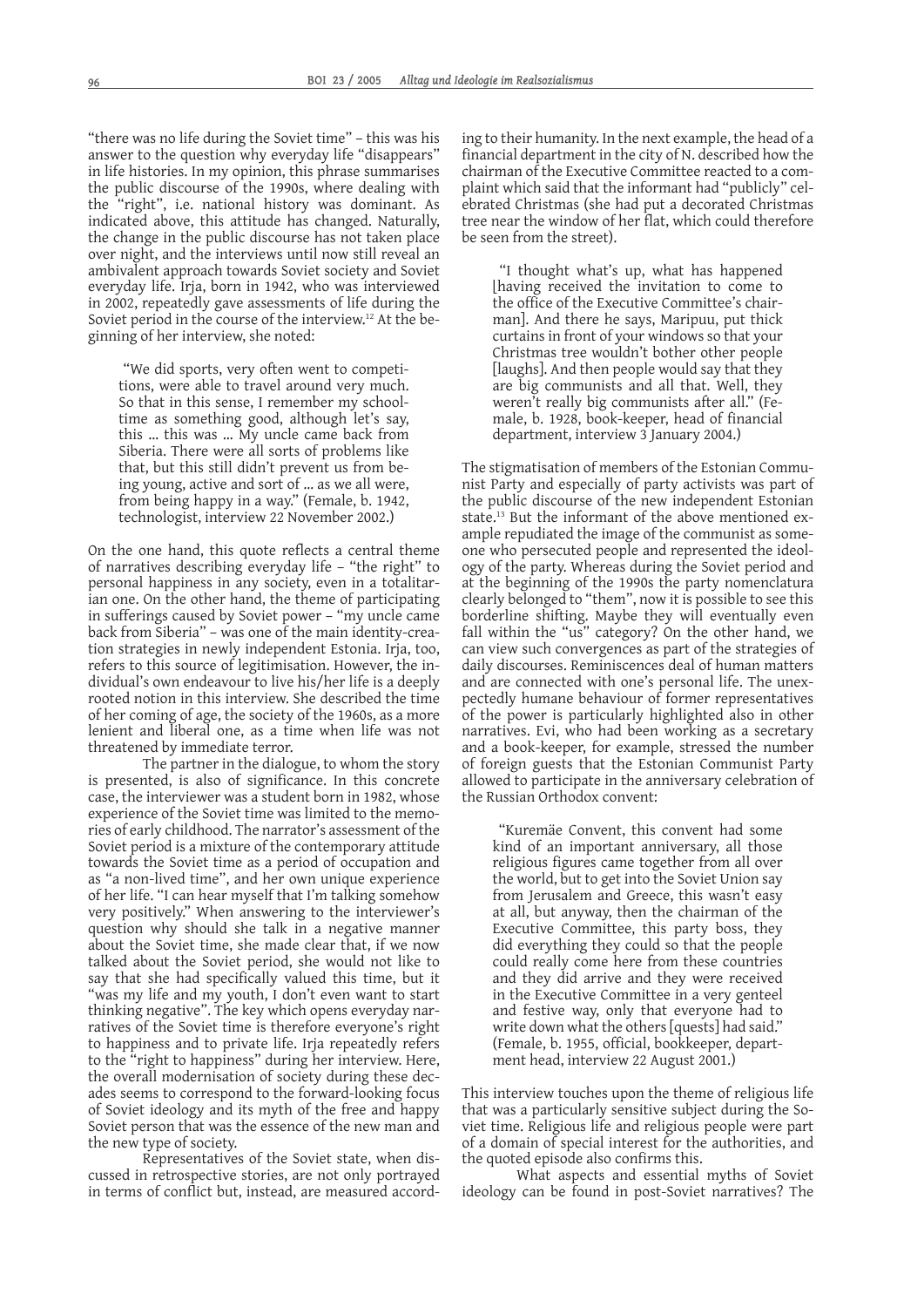"there was no life during the Soviet time" – this was his answer to the question why everyday life "disappears" in life histories. In my opinion, this phrase summarises the public discourse of the 1990s, where dealing with the "right", i.e. national history was dominant. As indicated above, this attitude has changed. Naturally, the change in the public discourse has not taken place over night, and the interviews until now still reveal an ambivalent approach towards Soviet society and Soviet everyday life. Irja, born in 1942, who was interviewed in 2002, repeatedly gave assessments of life during the Soviet period in the course of the interview.<sup>12</sup> At the beginning of her interview, she noted:

 "We did sports, very often went to competitions, were able to travel around very much. So that in this sense, I remember my schooltime as something good, although let's say, this … this was … My uncle came back from Siberia. There were all sorts of problems like that, but this still didn't prevent us from being young, active and sort of … as we all were, from being happy in a way." (Female, b. 1942, technologist, interview 22 November 2002.)

On the one hand, this quote reflects a central theme of narratives describing everyday life – "the right" to personal happiness in any society, even in a totalitarian one. On the other hand, the theme of participating in sufferings caused by Soviet power - "my uncle came back from Siberia" – was one of the main identity-creation strategies in newly independent Estonia. Irja, too, refers to this source of legitimisation. However, the individual's own endeavour to live his/her life is a deeply rooted notion in this interview. She described the time of her coming of age, the society of the 1960s, as a more lenient and liberal one, as a time when life was not threatened by immediate terror.

The partner in the dialogue, to whom the story is presented, is also of significance. In this concrete case, the interviewer was a student born in 1982, whose experience of the Soviet time was limited to the memories of early childhood. The narrator's assessment of the Soviet period is a mixture of the contemporary attitude towards the Soviet time as a period of occupation and as "a non-lived time", and her own unique experience of her life. "I can hear myself that I'm talking somehow very positively." When answering to the interviewer's question why should she talk in a negative manner about the Soviet time, she made clear that, if we now talked about the Soviet period, she would not like to say that she had specifically valued this time, but it "was my life and my youth, I don't even want to start thinking negative". The key which opens everyday narratives of the Soviet time is therefore everyone's right to happiness and to private life. Irja repeatedly refers to the "right to happiness" during her interview. Here, the overall modernisation of society during these decades seems to correspond to the forward-looking focus of Soviet ideology and its myth of the free and happy Soviet person that was the essence of the new man and the new type of society.

Representatives of the Soviet state, when discussed in retrospective stories, are not only portrayed in terms of conflict but, instead, are measured accord-

ing to their humanity. In the next example, the head of a financial department in the city of N. described how the chairman of the Executive Committee reacted to a complaint which said that the informant had "publicly" celebrated Christmas (she had put a decorated Christmas tree near the window of her flat, which could therefore be seen from the street).

 "I thought what's up, what has happened [having received the invitation to come to the office of the Executive Committee's chairman]. And there he says, Maripuu, put thick curtains in front of your windows so that your Christmas tree wouldn't bother other people [laughs]. And then people would say that they are big communists and all that. Well, they weren't really big communists after all." (Female, b. 1928, book-keeper, head of financial department, interview 3 January 2004.)

The stigmatisation of members of the Estonian Communist Party and especially of party activists was part of the public discourse of the new independent Estonian state.13 But the informant of the above mentioned example repudiated the image of the communist as someone who persecuted people and represented the ideology of the party. Whereas during the Soviet period and at the beginning of the 1990s the party nomenclatura clearly belonged to "them", now it is possible to see this borderline shifting. Maybe they will eventually even fall within the "us" category? On the other hand, we can view such convergences as part of the strategies of daily discourses. Reminiscences deal of human matters and are connected with one's personal life. The unexpectedly humane behaviour of former representatives of the power is particularly highlighted also in other narratives. Evi, who had been working as a secretary and a book-keeper, for example, stressed the number of foreign guests that the Estonian Communist Party allowed to participate in the anniversary celebration of the Russian Orthodox convent:

 "Kuremäe Convent, this convent had some kind of an important anniversary, all those religious figures came together from all over the world, but to get into the Soviet Union say from Jerusalem and Greece, this wasn't easy at all, but anyway, then the chairman of the Executive Committee, this party boss, they did everything they could so that the people could really come here from these countries and they did arrive and they were received in the Executive Committee in a very genteel and festive way, only that everyone had to write down what the others [quests] had said." (Female, b. 1955, official, bookkeeper, department head, interview 22 August 2001.)

This interview touches upon the theme of religious life that was a particularly sensitive subject during the Soviet time. Religious life and religious people were part of a domain of special interest for the authorities, and the quoted episode also confirms this.

What aspects and essential myths of Soviet ideology can be found in post-Soviet narratives? The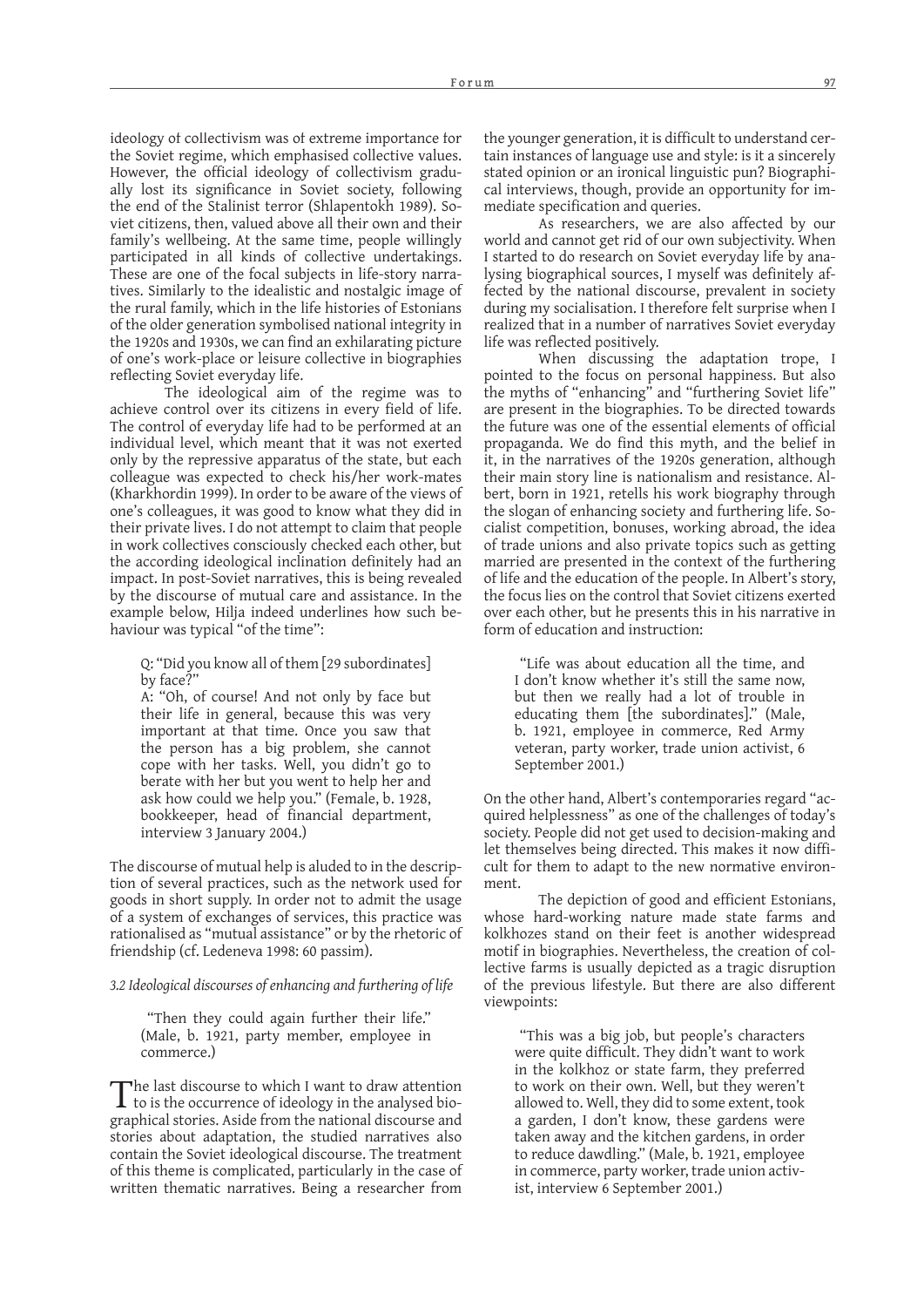ideology of collectivism was of extreme importance for the Soviet regime, which emphasised collective values. However, the official ideology of collectivism gradually lost its significance in Soviet society, following the end of the Stalinist terror (Shlapentokh 1989). Soviet citizens, then, valued above all their own and their family's wellbeing. At the same time, people willingly participated in all kinds of collective undertakings. These are one of the focal subjects in life-story narratives. Similarly to the idealistic and nostalgic image of the rural family, which in the life histories of Estonians of the older generation symbolised national integrity in the 1920s and 1930s, we can find an exhilarating picture of one's work-place or leisure collective in biographies reflecting Soviet everyday life.

The ideological aim of the regime was to achieve control over its citizens in every field of life. The control of everyday life had to be performed at an individual level, which meant that it was not exerted only by the repressive apparatus of the state, but each colleague was expected to check his/her work-mates (Kharkhordin 1999). In order to be aware of the views of one's colleagues, it was good to know what they did in their private lives. I do not attempt to claim that people in work collectives consciously checked each other, but the according ideological inclination definitely had an impact. In post-Soviet narratives, this is being revealed by the discourse of mutual care and assistance. In the example below, Hilja indeed underlines how such behaviour was typical "of the time":

Q: "Did you know all of them [29 subordinates] by face?"

A: "Oh, of course! And not only by face but their life in general, because this was very important at that time. Once you saw that the person has a big problem, she cannot cope with her tasks. Well, you didn't go to berate with her but you went to help her and ask how could we help you." (Female, b. 1928, bookkeeper, head of financial department, interview 3 January 2004.)

The discourse of mutual help is aluded to in the description of several practices, such as the network used for goods in short supply. In order not to admit the usage of a system of exchanges of services, this practice was rationalised as "mutual assistance" or by the rhetoric of friendship (cf. Ledeneva 1998: 60 passim).

# *3.2 Ideological discourses of enhancing and furthering of life*

 "Then they could again further their life." (Male, b. 1921, party member, employee in commerce.)

The last discourse to which I want to draw attention<br>to is the occurrence of ideology in the analysed biographical stories. Aside from the national discourse and stories about adaptation, the studied narratives also contain the Soviet ideological discourse. The treatment of this theme is complicated, particularly in the case of written thematic narratives. Being a researcher from

the younger generation, it is difficult to understand certain instances of language use and style: is it a sincerely stated opinion or an ironical linguistic pun? Biographical interviews, though, provide an opportunity for immediate specification and queries.

As researchers, we are also affected by our world and cannot get rid of our own subjectivity. When I started to do research on Soviet everyday life by analysing biographical sources, I myself was definitely affected by the national discourse, prevalent in society during my socialisation. I therefore felt surprise when I realized that in a number of narratives Soviet everyday life was reflected positively.

When discussing the adaptation trope, I pointed to the focus on personal happiness. But also the myths of "enhancing" and "furthering Soviet life" are present in the biographies. To be directed towards the future was one of the essential elements of official propaganda. We do find this myth, and the belief in it, in the narratives of the 1920s generation, although their main story line is nationalism and resistance. Albert, born in 1921, retells his work biography through the slogan of enhancing society and furthering life. Socialist competition, bonuses, working abroad, the idea of trade unions and also private topics such as getting married are presented in the context of the furthering of life and the education of the people. In Albert's story, the focus lies on the control that Soviet citizens exerted over each other, but he presents this in his narrative in form of education and instruction:

 "Life was about education all the time, and I don't know whether it's still the same now, but then we really had a lot of trouble in educating them [the subordinates]." (Male, b. 1921, employee in commerce, Red Army veteran, party worker, trade union activist, 6 September 2001.)

On the other hand, Albert's contemporaries regard "acquired helplessness" as one of the challenges of today's society. People did not get used to decision-making and let themselves being directed. This makes it now difficult for them to adapt to the new normative environment.

The depiction of good and efficient Estonians, whose hard-working nature made state farms and kolkhozes stand on their feet is another widespread motif in biographies. Nevertheless, the creation of collective farms is usually depicted as a tragic disruption of the previous lifestyle. But there are also different viewpoints:

 "This was a big job, but people's characters were quite difficult. They didn't want to work in the kolkhoz or state farm, they preferred to work on their own. Well, but they weren't allowed to. Well, they did to some extent, took a garden, I don't know, these gardens were taken away and the kitchen gardens, in order to reduce dawdling." (Male, b. 1921, employee in commerce, party worker, trade union activist, interview 6 September 2001.)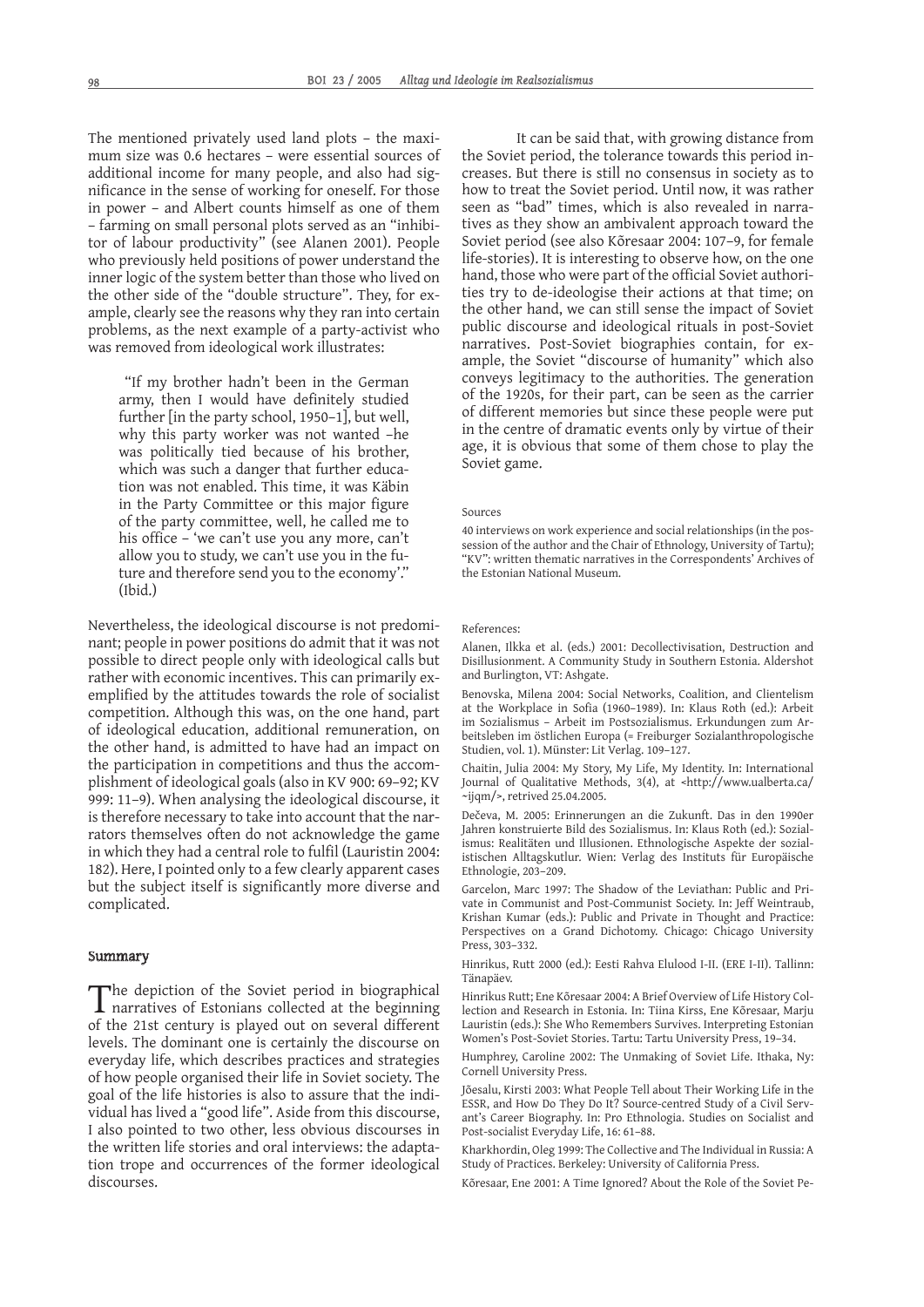The mentioned privately used land plots – the maximum size was 0.6 hectares – were essential sources of additional income for many people, and also had significance in the sense of working for oneself. For those in power – and Albert counts himself as one of them – farming on small personal plots served as an "inhibitor of labour productivity" (see Alanen 2001). People who previously held positions of power understand the inner logic of the system better than those who lived on the other side of the "double structure". They, for example, clearly see the reasons why they ran into certain problems, as the next example of a party-activist who was removed from ideological work illustrates:

 "If my brother hadn't been in the German army, then I would have definitely studied further [in the party school, 1950–1], but well, why this party worker was not wanted –he was politically tied because of his brother, which was such a danger that further education was not enabled. This time, it was Käbin in the Party Committee or this major figure of the party committee, well, he called me to his office – 'we can't use you any more, can't allow you to study, we can't use you in the future and therefore send you to the economy'." (Ibid.)

Nevertheless, the ideological discourse is not predominant; people in power positions do admit that it was not possible to direct people only with ideological calls but rather with economic incentives. This can primarily exemplified by the attitudes towards the role of socialist competition. Although this was, on the one hand, part of ideological education, additional remuneration, on the other hand, is admitted to have had an impact on the participation in competitions and thus the accomplishment of ideological goals (also in KV 900: 69–92; KV 999: 11–9). When analysing the ideological discourse, it is therefore necessary to take into account that the narrators themselves often do not acknowledge the game in which they had a central role to fulfil (Lauristin 2004: 182). Here, I pointed only to a few clearly apparent cases but the subject itself is significantly more diverse and complicated.

## Summary

The depiction of the Soviet period in biographical narratives of Estonians collected at the beginning of the 21st century is played out on several different levels. The dominant one is certainly the discourse on everyday life, which describes practices and strategies of how people organised their life in Soviet society. The goal of the life histories is also to assure that the individual has lived a "good life". Aside from this discourse, I also pointed to two other, less obvious discourses in the written life stories and oral interviews: the adaptation trope and occurrences of the former ideological discourses.

It can be said that, with growing distance from the Soviet period, the tolerance towards this period increases. But there is still no consensus in society as to how to treat the Soviet period. Until now, it was rather seen as "bad" times, which is also revealed in narratives as they show an ambivalent approach toward the Soviet period (see also Kõresaar 2004: 107–9, for female life-stories). It is interesting to observe how, on the one hand, those who were part of the official Soviet authorities try to de-ideologise their actions at that time; on the other hand, we can still sense the impact of Soviet public discourse and ideological rituals in post-Soviet narratives. Post-Soviet biographies contain, for example, the Soviet "discourse of humanity" which also conveys legitimacy to the authorities. The generation of the 1920s, for their part, can be seen as the carrier of different memories but since these people were put in the centre of dramatic events only by virtue of their age, it is obvious that some of them chose to play the Soviet game.

# Sources

40 interviews on work experience and social relationships (in the possession of the author and the Chair of Ethnology, University of Tartu); "KV": written thematic narratives in the Correspondents' Archives of the Estonian National Museum.

#### References:

Alanen, Ilkka et al. (eds.) 2001: Decollectivisation, Destruction and Disillusionment. A Community Study in Southern Estonia. Aldershot and Burlington, VT: Ashgate.

Benovska, Milena 2004: Social Networks, Coalition, and Clientelism at the Workplace in Sofia (1960-1989). In: Klaus Roth (ed.): Arbeit im Sozialismus – Arbeit im Postsozialismus. Erkundungen zum Arbeitsleben im östlichen Europa (= Freiburger Sozialanthropologische Studien, vol. 1). Münster: Lit Verlag. 109–127.

Chaitin, Julia 2004: My Story, My Life, My Identity. In: International Journal of Qualitative Methods, 3(4), at <http://www.ualberta.ca/ ~ijqm/>, retrived 25.04.2005.

Dečeva, M. 2005: Erinnerungen an die Zukunft. Das in den 1990er Jahren konstruierte Bild des Sozialismus. In: Klaus Roth (ed.): Sozialismus: Realitäten und Illusionen. Ethnologische Aspekte der sozialistischen Alltagskutlur. Wien: Verlag des Instituts für Europäische Ethnologie, 203–209.

Garcelon, Marc 1997: The Shadow of the Leviathan: Public and Private in Communist and Post-Communist Society. In: Jeff Weintraub, Krishan Kumar (eds.): Public and Private in Thought and Practice: Perspectives on a Grand Dichotomy. Chicago: Chicago University Press, 303–332.

Hinrikus, Rutt 2000 (ed.): Eesti Rahva Elulood I-II. (ERE I-II). Tallinn: Tänapäev.

Hinrikus Rutt; Ene Kõresaar 2004: A Brief Overview of Life History Collection and Research in Estonia. In: Tiina Kirss, Ene Kõresaar, Marju Lauristin (eds.): She Who Remembers Survives. Interpreting Estonian Women's Post-Soviet Stories. Tartu: Tartu University Press, 19–34.

Humphrey, Caroline 2002: The Unmaking of Soviet Life. Ithaka, Ny: Cornell University Press.

Jõesalu, Kirsti 2003: What People Tell about Their Working Life in the ESSR, and How Do They Do It? Source-centred Study of a Civil Servant's Career Biography. In: Pro Ethnologia. Studies on Socialist and Post-socialist Everyday Life, 16: 61–88.

Kharkhordin, Oleg 1999: The Collective and The Individual in Russia: A Study of Practices. Berkeley: University of California Press.

Kõresaar, Ene 2001: A Time Ignored? About the Role of the Soviet Pe-